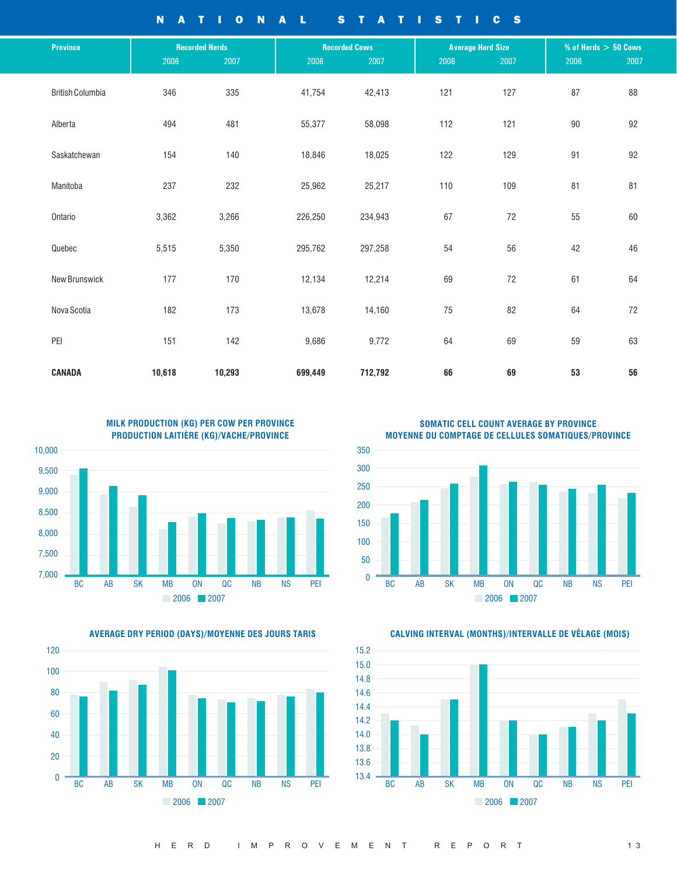NATIONAL STATISTICS

| <b>Province</b>         |        | <b>Recorded Herds</b> |         | <b>Recorded Cows</b> |      | <b>Average Herd Size</b> | $%$ of Herds $> 50$ Cows |      |
|-------------------------|--------|-----------------------|---------|----------------------|------|--------------------------|--------------------------|------|
|                         | 2006   | 2007                  | 2006    | 2007                 | 2006 | 2007                     | 2006                     | 2007 |
| <b>British Columbia</b> | 346    | 335                   | 41,754  | 42,413               | 121  | 127                      | 87                       | 88   |
| Alberta                 | 494    | 481                   | 55,377  | 58,098               | 112  | 121                      | 90                       | 92   |
| Saskatchewan            | 154    | 140                   | 18,846  | 18,025               | 122  | 129                      | 91                       | 92   |
| Manitoba                | 237    | 232                   | 25,962  | 25,217               | 110  | 109                      | 81                       | 81   |
| Ontario                 | 3,362  | 3,266                 | 226,250 | 234,943              | 67   | $72\,$                   | 55                       | 60   |
| Quebec                  | 5,515  | 5,350                 | 295,762 | 297,258              | 54   | 56                       | 42                       | 46   |
| <b>New Brunswick</b>    | 177    | 170                   | 12,134  | 12,214               | 69   | 72                       | 61                       | 64   |
| Nova Scotia             | 182    | 173                   | 13,678  | 14,160               | 75   | 82                       | 64                       | 72   |
| PEI                     | 151    | 142                   | 9,686   | 9,772                |      | 69                       | 59                       | 63   |
| CANADA                  | 10,618 | 10,293                | 699,449 | 712,792              | 66   | 69                       | 53                       | 56   |



**AVERAGE DRY PERIOD (DAYS)/MOYENNE DES JOURS TARIS CALVING INTERVAL (MONTHS)/INTERVALLE DE VÊLAGE (MOIS)**



**SOMATIC CELL COUNT AVERAGE BY PROVINCE MOYENNE DU COMPTAGE DE CELLULES SOMATIQUES/PROVINCE**



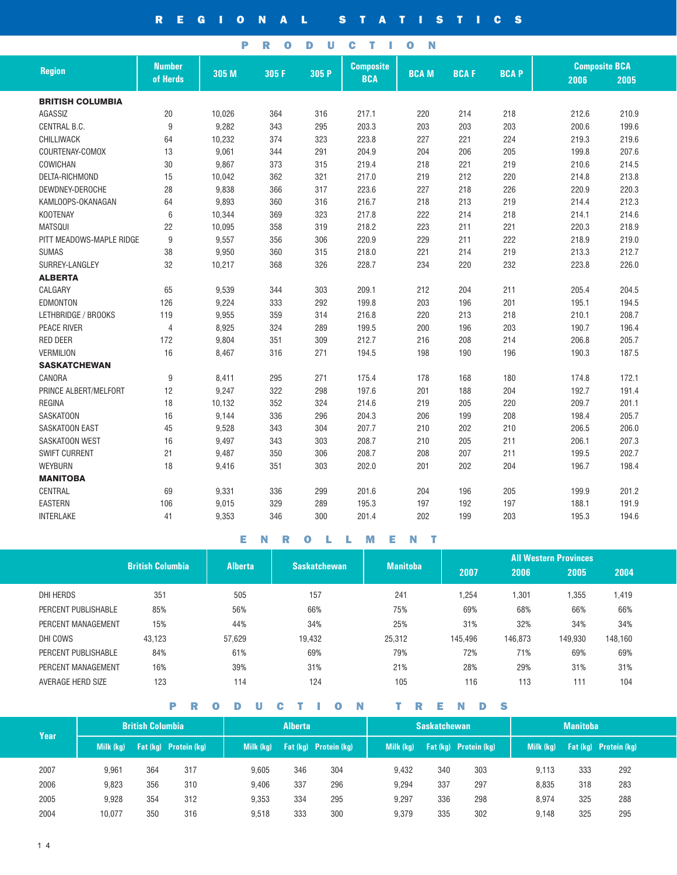REGIONAL STATISTICS

PRODUCTION

|                          | <b>Number</b><br><b>Composite</b> |        |       |       |            | <b>Composite BCA</b> |             |             |       |       |
|--------------------------|-----------------------------------|--------|-------|-------|------------|----------------------|-------------|-------------|-------|-------|
| <b>Region</b>            | of Herds                          | 305 M  | 305 F | 305 P | <b>BCA</b> | <b>BCAM</b>          | <b>BCAF</b> | <b>BCAP</b> | 2006  | 2005  |
| <b>BRITISH COLUMBIA</b>  |                                   |        |       |       |            |                      |             |             |       |       |
| AGASSIZ                  | 20                                | 10,026 | 364   | 316   | 217.1      | 220                  | 214         | 218         | 212.6 | 210.9 |
| CENTRAL B.C.             | 9                                 | 9,282  | 343   | 295   | 203.3      | 203                  | 203         | 203         | 200.6 | 199.6 |
| CHILLIWACK               | 64                                | 10,232 | 374   | 323   | 223.8      | 227                  | 221         | 224         | 219.3 | 219.6 |
| COURTENAY-COMOX          | 13                                | 9,061  | 344   | 291   | 204.9      |                      | 206         | 205         | 199.8 | 207.6 |
| COWICHAN                 |                                   |        |       |       |            | 204<br>218           |             |             |       |       |
|                          | 30                                | 9,867  | 373   | 315   | 219.4      |                      | 221         | 219         | 210.6 | 214.5 |
| DELTA-RICHMOND           | 15                                | 10,042 | 362   | 321   | 217.0      | 219                  | 212         | 220         | 214.8 | 213.8 |
| DEWDNEY-DEROCHE          | 28                                | 9,838  | 366   | 317   | 223.6      | 227                  | 218         | 226         | 220.9 | 220.3 |
| KAMLOOPS-OKANAGAN        | 64                                | 9,893  | 360   | 316   | 216.7      | 218                  | 213         | 219         | 214.4 | 212.3 |
| <b>KOOTENAY</b>          | 6                                 | 10,344 | 369   | 323   | 217.8      | 222                  | 214         | 218         | 214.1 | 214.6 |
| <b>MATSQUI</b>           | 22                                | 10,095 | 358   | 319   | 218.2      | 223                  | 211         | 221         | 220.3 | 218.9 |
| PITT MEADOWS-MAPLE RIDGE | 9                                 | 9,557  | 356   | 306   | 220.9      | 229                  | 211         | 222         | 218.9 | 219.0 |
| <b>SUMAS</b>             | 38                                | 9,950  | 360   | 315   | 218.0      | 221                  | 214         | 219         | 213.3 | 212.7 |
| SURREY-LANGLEY           | 32                                | 10,217 | 368   | 326   | 228.7      | 234                  | 220         | 232         | 223.8 | 226.0 |
| <b>ALBERTA</b>           |                                   |        |       |       |            |                      |             |             |       |       |
| CALGARY                  | 65                                | 9,539  | 344   | 303   | 209.1      | 212                  | 204         | 211         | 205.4 | 204.5 |
| <b>EDMONTON</b>          | 126                               | 9,224  | 333   | 292   | 199.8      | 203                  | 196         | 201         | 195.1 | 194.5 |
| LETHBRIDGE / BROOKS      | 119                               | 9,955  | 359   | 314   | 216.8      | 220                  | 213         | 218         | 210.1 | 208.7 |
| <b>PEACE RIVER</b>       | $\overline{4}$                    | 8,925  | 324   | 289   | 199.5      | 200                  | 196         | 203         | 190.7 | 196.4 |
| <b>RED DEER</b>          | 172                               | 9,804  | 351   | 309   | 212.7      | 216                  | 208         | 214         | 206.8 | 205.7 |
| <b>VERMILION</b>         | 16                                | 8,467  | 316   | 271   | 194.5      | 198                  | 190         | 196         | 190.3 | 187.5 |
| <b>SASKATCHEWAN</b>      |                                   |        |       |       |            |                      |             |             |       |       |
| CANORA                   | 9                                 | 8,411  | 295   | 271   | 175.4      | 178                  | 168         | 180         | 174.8 | 172.1 |
| PRINCE ALBERT/MELFORT    | 12                                | 9,247  | 322   | 298   | 197.6      | 201                  | 188         | 204         | 192.7 | 191.4 |
| <b>REGINA</b>            | 18                                | 10,132 | 352   | 324   | 214.6      | 219                  | 205         | 220         | 209.7 | 201.1 |
| <b>SASKATOON</b>         | 16                                | 9,144  | 336   | 296   | 204.3      | 206                  | 199         | 208         | 198.4 | 205.7 |
| <b>SASKATOON EAST</b>    | 45                                | 9,528  | 343   | 304   | 207.7      | 210                  | 202         | 210         | 206.5 | 206.0 |
| SASKATOON WEST           | 16                                | 9,497  | 343   | 303   | 208.7      | 210                  | 205         | 211         | 206.1 | 207.3 |
| <b>SWIFT CURRENT</b>     | 21                                | 9,487  | 350   | 306   | 208.7      | 208                  | 207         | 211         | 199.5 | 202.7 |
| <b>WEYBURN</b>           | 18                                | 9,416  | 351   | 303   | 202.0      | 201                  | 202         | 204         | 196.7 | 198.4 |
| <b>MANITOBA</b>          |                                   |        |       |       |            |                      |             |             |       |       |
| CENTRAL                  | 69                                | 9,331  | 336   | 299   | 201.6      | 204                  | 196         | 205         | 199.9 | 201.2 |
| <b>EASTERN</b>           | 106                               | 9,015  | 329   | 289   | 195.3      | 197                  | 192         | 197         | 188.1 | 191.9 |
| <b>INTERLAKE</b>         | 41                                | 9,353  | 346   | 300   | 201.4      | 202                  | 199         | 203         | 195.3 | 194.6 |

ENROLLMENT

|                     |                         |                |                     |                 | <b>All Western Provinces</b> |         |         |         |  |  |  |
|---------------------|-------------------------|----------------|---------------------|-----------------|------------------------------|---------|---------|---------|--|--|--|
|                     | <b>British Columbia</b> | <b>Alberta</b> | <b>Saskatchewan</b> | <b>Manitoba</b> | 2007                         | 2006    | 2005    | 2004    |  |  |  |
| DHI HERDS           | 351                     | 505            | 157                 | 241             | 1,254                        | 1,301   | .355    | 1,419   |  |  |  |
| PERCENT PUBLISHABLE | 85%                     | 56%            | 66%                 | 75%             | 69%                          | 68%     | 66%     | 66%     |  |  |  |
| PERCENT MANAGEMENT  | 15%                     | 44%            | 34%                 | 25%             | 31%                          | 32%     | 34%     | 34%     |  |  |  |
| DHI COWS            | 43.123                  | 57,629         | 19,432              | 25,312          | 145,496                      | 146,873 | 149.930 | 148,160 |  |  |  |
| PERCENT PUBLISHABLE | 84%                     | 61%            | 69%                 | 79%             | 72%                          | 71%     | 69%     | 69%     |  |  |  |
| PERCENT MANAGEMENT  | 16%                     | 39%            | 31%                 | 21%             | 28%                          | 29%     | 31%     | 31%     |  |  |  |
| AVERAGE HERD SIZE   | 123                     | 114            | 124                 | 105             | 116                          | 113     | 111     | 104     |  |  |  |

PRODUCTION TRENDS

| <b>Year</b> |           | <b>British Columbia</b> |                              | <b>Alberta</b> |     |                              | <b>Saskatchewan</b> |     | <b>Manitoba</b>                |           |     |                              |
|-------------|-----------|-------------------------|------------------------------|----------------|-----|------------------------------|---------------------|-----|--------------------------------|-----------|-----|------------------------------|
|             | Milk (kg) |                         | <b>Fat (kg)</b> Protein (kg) | Milk (kg)      |     | <b>Fat (kg)</b> Protein (kg) | Milk (kg)           |     | <b>Fat (kg) Protein (kg)</b> ' | Milk (kg) |     | <b>Fat (kg)</b> Protein (kg) |
| 2007        | 9.961     | 364                     | 317                          | 9,605          | 346 | 304                          | 9.432               | 340 | 303                            | 9.113     | 333 | 292                          |
| 2006        | 9.823     | 356                     | 310                          | 9,406          | 337 | 296                          | 9.294               | 337 | 297                            | 8,835     | 318 | 283                          |
| 2005        | 9.928     | 354                     | 312                          | 9,353          | 334 | 295                          | 9.297               | 336 | 298                            | 8,974     | 325 | 288                          |
| 2004        | 10.077    | 350                     | 316                          | 9,518          | 333 | 300                          | 9,379               | 335 | 302                            | 9.148     | 325 | 295                          |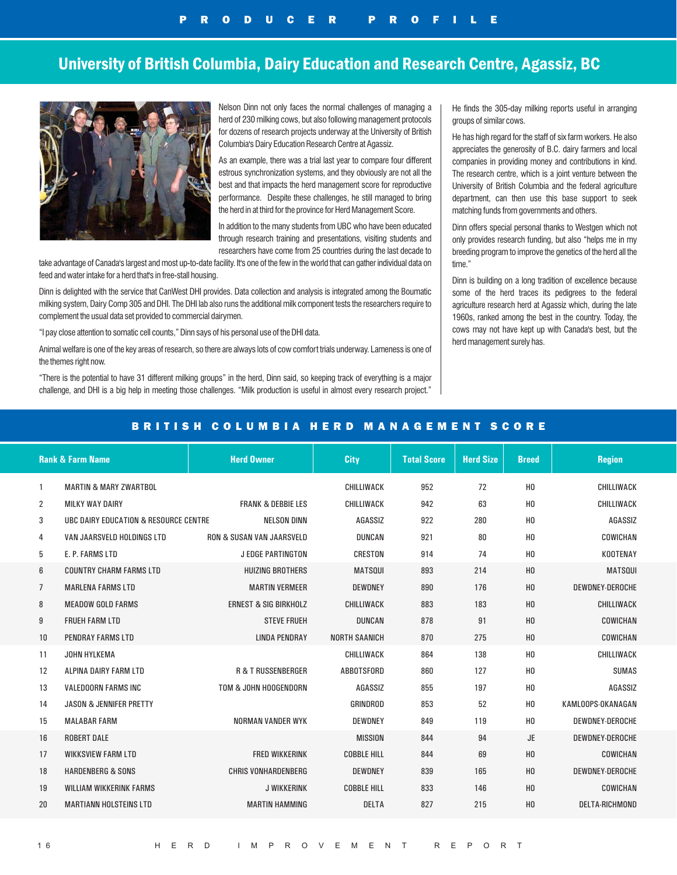## University of British Columbia, Dairy Education and Research Centre, Agassiz, BC



Nelson Dinn not only faces the normal challenges of managing a herd of 230 milking cows, but also following management protocols for dozens of research projects underway at the University of British Columbia's Dairy Education Research Centre at Agassiz.

As an example, there was a trial last year to compare four different estrous synchronization systems, and they obviously are not all the best and that impacts the herd management score for reproductive performance. Despite these challenges, he still managed to bring the herd in at third for the province for Herd Management Score.

In addition to the many students from UBC who have been educated through research training and presentations, visiting students and researchers have come from 25 countries during the last decade to

take advantage of Canada's largest and most up-to-date facility. It's one of the few in the world that can gather individual data on feed and water intake for a herd that's in free-stall housing.

Dinn is delighted with the service that CanWest DHI provides. Data collection and analysis is integrated among the Boumatic milking system, Dairy Comp 305 and DHI. The DHI lab also runs the additional milk component tests the researchers require to complement the usual data set provided to commercial dairymen.

"I pay close attention to somatic cell counts," Dinn says of his personal use of the DHI data.

Animal welfare is one of the key areas of research, so there are always lots of cow comfort trials underway. Lameness is one of the themes right now.

"There is the potential to have 31 different milking groups" in the herd, Dinn said, so keeping track of everything is a major challenge, and DHI is a big help in meeting those challenges. "Milk production is useful in almost every research project." He finds the 305-day milking reports useful in arranging groups of similar cows.

He has high regard for the staff of six farm workers. He also appreciates the generosity of B.C. dairy farmers and local companies in providing money and contributions in kind. The research centre, which is a joint venture between the University of British Columbia and the federal agriculture department, can then use this base support to seek matching funds from governments and others.

Dinn offers special personal thanks to Westgen which not only provides research funding, but also "helps me in my breeding program to improve the genetics of the herd all the time."

Dinn is building on a long tradition of excellence because some of the herd traces its pedigrees to the federal agriculture research herd at Agassiz which, during the late 1960s, ranked among the best in the country. Today, the cows may not have kept up with Canada's best, but the herd management surely has.

### BRITISH COLUMBIA HERD MANAGEMENT SCORE

|                | <b>Herd Owner</b><br><b>Rank &amp; Farm Name</b> |                                      | <b>City</b>          | <b>Total Score</b> | <b>Herd Size</b> | <b>Breed</b>   | <b>Region</b>          |
|----------------|--------------------------------------------------|--------------------------------------|----------------------|--------------------|------------------|----------------|------------------------|
| 1              | <b>MARTIN &amp; MARY ZWARTBOL</b>                |                                      | CHILLIWACK           | 952                | 72               | H <sub>0</sub> | CHILLIWACK             |
| 2              | <b>MILKY WAY DAIRY</b>                           | <b>FRANK &amp; DEBBIE LES</b>        | CHILLIWACK           | 942                | 63               | H <sub>0</sub> | CHILLIWACK             |
| 3              | UBC DAIRY EDUCATION & RESOURCE CENTRE            | <b>NELSON DINN</b>                   | AGASSIZ              | 922                | 280              | H <sub>0</sub> | AGASSIZ                |
| 4              | VAN JAARSVELD HOLDINGS LTD                       | <b>RON &amp; SUSAN VAN JAARSVELD</b> | <b>DUNCAN</b>        | 921                | 80               | H <sub>0</sub> | COWICHAN               |
| 5              | E. P. FARMS LTD                                  | <b>J EDGE PARTINGTON</b>             | <b>CRESTON</b>       | 914                | 74               | H <sub>0</sub> | <b>KOOTENAY</b>        |
| 6              | <b>COUNTRY CHARM FARMS LTD</b>                   | <b>HUIZING BROTHERS</b>              | <b>MATSOUL</b>       | 893                | 214              | H <sub>0</sub> | <b>MATSOUL</b>         |
| $\overline{7}$ | <b>MARLENA FARMS LTD</b>                         | <b>MARTIN VERMEER</b>                | <b>DEWDNEY</b>       | 890                | 176              | H <sub>0</sub> | DEWDNEY-DEROCHE        |
| 8              | <b>MEADOW GOLD FARMS</b>                         | <b>ERNEST &amp; SIG BIRKHOLZ</b>     | CHILLIWACK           | 883                | 183              | H <sub>0</sub> | <b>CHILLIWACK</b>      |
| 9              | <b>FRUEH FARM LTD</b>                            | <b>STEVE FRUEH</b>                   | <b>DUNCAN</b>        | 878                | 91               | H <sub>0</sub> | COWICHAN               |
| 10             | <b>PENDRAY FARMS LTD</b>                         | <b>LINDA PENDRAY</b>                 | <b>NORTH SAANICH</b> | 870                | 275              | H <sub>0</sub> | COWICHAN               |
| 11             | JOHN HYLKEMA                                     |                                      | CHILLIWACK           | 864                | 138              | H <sub>0</sub> | <b>CHILLIWACK</b>      |
| 12             | ALPINA DAIRY FARM LTD                            | <b>R &amp; T RUSSENBERGER</b>        | ABBOTSFORD           | 860                | 127              | H <sub>0</sub> | <b>SUMAS</b>           |
| 13             | <b>VALEDOORN FARMS INC</b>                       | TOM & JOHN HOOGENDORN                | AGASSIZ              | 855                | 197              | H <sub>0</sub> | AGASSIZ                |
| 14             | <b>JASON &amp; JENNIFER PRETTY</b>               |                                      | <b>GRINDROD</b>      | 853                | 52               | H <sub>0</sub> | KAMLOOPS-OKANAGAN      |
| 15             | <b>MALABAR FARM</b>                              | <b>NORMAN VANDER WYK</b>             | <b>DEWDNEY</b>       | 849                | 119              | H <sub>0</sub> | <b>DEWDNEY-DEROCHE</b> |
| 16             | <b>ROBERT DALE</b>                               |                                      | <b>MISSION</b>       | 844                | 94               | <b>JE</b>      | DEWDNEY-DEROCHE        |
| 17             | <b>WIKKSVIEW FARM LTD</b>                        | <b>FRED WIKKERINK</b>                | <b>COBBLE HILL</b>   | 844                | 69               | H <sub>0</sub> | COWICHAN               |
| 18             | <b>HARDENBERG &amp; SONS</b>                     | <b>CHRIS VONHARDENBERG</b>           | <b>DEWDNEY</b>       | 839                | 165              | H <sub>0</sub> | DEWDNEY-DEROCHE        |
| 19             | <b>WILLIAM WIKKERINK FARMS</b>                   | <b>J WIKKERINK</b>                   | <b>COBBLE HILL</b>   | 833                | 146              | H <sub>0</sub> | COWICHAN               |
| 20             | <b>MARTIANN HOLSTEINS LTD</b>                    | <b>MARTIN HAMMING</b>                | <b>DELTA</b>         | 827                | 215              | H <sub>0</sub> | <b>DELTA-RICHMOND</b>  |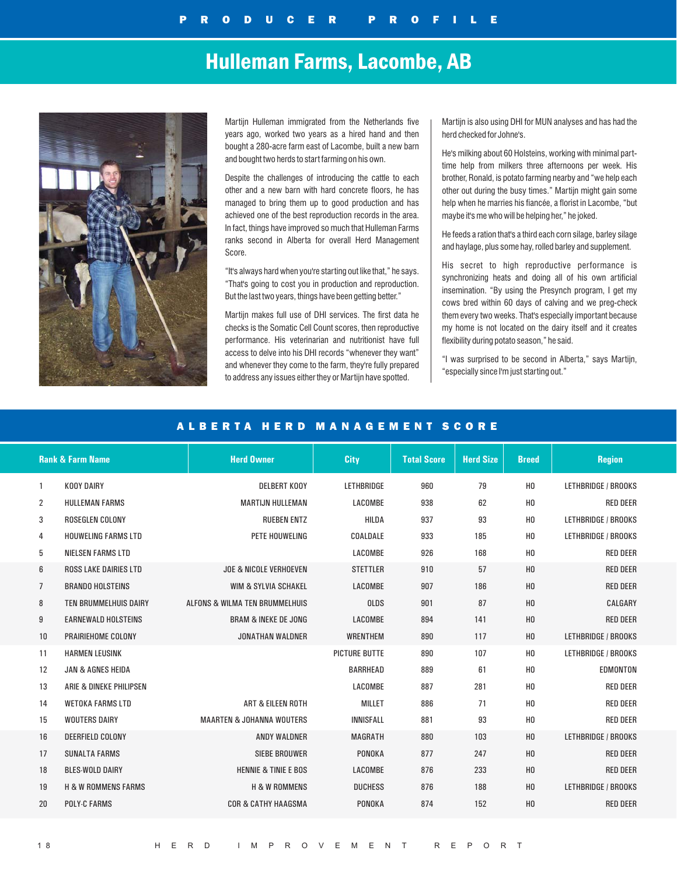# Hulleman Farms, Lacombe, AB



Martijn Hulleman immigrated from the Netherlands five years ago, worked two years as a hired hand and then bought a 280-acre farm east of Lacombe, built a new barn and bought two herds to start farming on his own.

Despite the challenges of introducing the cattle to each other and a new barn with hard concrete floors, he has managed to bring them up to good production and has achieved one of the best reproduction records in the area. In fact, things have improved so much that Hulleman Farms ranks second in Alberta for overall Herd Management Score.

"It's always hard when you're starting out like that," he says. "That's going to cost you in production and reproduction. But the last two years, things have been getting better."

Martijn makes full use of DHI services. The first data he checks is the Somatic Cell Count scores, then reproductive performance. His veterinarian and nutritionist have full access to delve into his DHI records "whenever they want" and whenever they come to the farm, they're fully prepared to address any issues either they or Martijn have spotted.

Martijn is also using DHI for MUN analyses and has had the herd checked for Johne's.

He's milking about 60 Holsteins, working with minimal parttime help from milkers three afternoons per week. His brother, Ronald, is potato farming nearby and "we help each other out during the busy times." Martijn might gain some help when he marries his fiancée, a florist in Lacombe, "but maybe it's me who will be helping her," he joked.

He feeds a ration that's a third each corn silage, barley silage and haylage, plus some hay, rolled barley and supplement.

His secret to high reproductive performance is synchronizing heats and doing all of his own artificial insemination. "By using the Presynch program, I get my cows bred within 60 days of calving and we preg-check them every two weeks. That's especially important because my home is not located on the dairy itself and it creates flexibility during potato season," he said.

"I was surprised to be second in Alberta," says Martijn, "especially since I'm just starting out."

### ALBERTA HERD MANAGEMENT SCORE

|                | <b>Rank &amp; Farm Name</b>    | <b>Herd Owner</b>                    | <b>City</b>          | <b>Total Score</b> | <b>Herd Size</b> | <b>Breed</b>   | <b>Region</b>       |
|----------------|--------------------------------|--------------------------------------|----------------------|--------------------|------------------|----------------|---------------------|
| $\mathbf{1}$   | <b>KOOY DAIRY</b>              | <b>DELBERT KOOY</b>                  | LETHBRIDGE           | 960                | 79               | H <sub>0</sub> | LETHBRIDGE / BROOKS |
| $\overline{2}$ | <b>HULLEMAN FARMS</b>          | <b>MARTIJN HULLEMAN</b>              | LACOMBE              | 938                | 62               | H <sub>0</sub> | <b>RED DEER</b>     |
| 3              | ROSEGLEN COLONY                | <b>RUEBEN ENTZ</b>                   | <b>HILDA</b>         | 937                | 93               | H <sub>0</sub> | LETHBRIDGE / BROOKS |
| 4              | <b>HOUWELING FARMS LTD</b>     | <b>PETE HOUWELING</b>                | COALDALE             | 933                | 185              | H <sub>0</sub> | LETHBRIDGE / BROOKS |
| 5              | <b>NIELSEN FARMS LTD</b>       |                                      | LACOMBE              | 926                | 168              | H <sub>0</sub> | <b>RED DEER</b>     |
| 6              | <b>ROSS LAKE DAIRIES LTD</b>   | <b>JOE &amp; NICOLE VERHOEVEN</b>    | <b>STETTLER</b>      | 910                | 57               | H <sub>0</sub> | <b>RED DEER</b>     |
| 7              | <b>BRANDO HOLSTEINS</b>        | WIM & SYLVIA SCHAKEL                 | LACOMBE              | 907                | 186              | H <sub>0</sub> | <b>RED DEER</b>     |
| 8              | TEN BRUMMELHUIS DAIRY          | ALFONS & WILMA TEN BRUMMELHUIS       | <b>OLDS</b>          | 901                | 87               | H <sub>0</sub> | CALGARY             |
| 9              | <b>EARNEWALD HOLSTEINS</b>     | <b>BRAM &amp; INEKE DE JONG</b>      | LACOMBE              | 894                | 141              | H <sub>0</sub> | <b>RED DEER</b>     |
| 10             | PRAIRIEHOME COLONY             | <b>JONATHAN WALDNER</b>              | <b>WRENTHEM</b>      | 890                | 117              | H <sub>0</sub> | LETHBRIDGE / BROOKS |
| 11             | <b>HARMEN LEUSINK</b>          |                                      | <b>PICTURE BUTTE</b> | 890                | 107              | H <sub>0</sub> | LETHBRIDGE / BROOKS |
| 12             | <b>JAN &amp; AGNES HEIDA</b>   |                                      | <b>BARRHEAD</b>      | 889                | 61               | H <sub>0</sub> | EDMONTON            |
| 13             | ARIE & DINEKE PHILIPSEN        |                                      | LACOMBE              | 887                | 281              | H <sub>0</sub> | <b>RED DEER</b>     |
| 14             | <b>WETOKA FARMS LTD</b>        | <b>ART &amp; EILEEN ROTH</b>         | <b>MILLET</b>        | 886                | 71               | H <sub>0</sub> | <b>RED DEER</b>     |
| 15             | <b>WOUTERS DAIRY</b>           | <b>MAARTEN &amp; JOHANNA WOUTERS</b> | <b>INNISFALL</b>     | 881                | 93               | H <sub>0</sub> | <b>RED DEER</b>     |
| 16             | <b>DEERFIELD COLONY</b>        | <b>ANDY WALDNER</b>                  | <b>MAGRATH</b>       | 880                | 103              | H <sub>0</sub> | LETHBRIDGE / BROOKS |
| 17             | <b>SUNALTA FARMS</b>           | <b>SIEBE BROUWER</b>                 | PONOKA               | 877                | 247              | H <sub>0</sub> | <b>RED DEER</b>     |
| 18             | <b>BLES-WOLD DAIRY</b>         | <b>HENNIE &amp; TINIE E BOS</b>      | LACOMBE              | 876                | 233              | H <sub>0</sub> | <b>RED DEER</b>     |
| 19             | <b>H &amp; W ROMMENS FARMS</b> | <b>H &amp; W ROMMENS</b>             | <b>DUCHESS</b>       | 876                | 188              | H <sub>0</sub> | LETHBRIDGE / BROOKS |
| 20             | <b>POLY-C FARMS</b>            | <b>COR &amp; CATHY HAAGSMA</b>       | PONOKA               | 874                | 152              | H <sub>0</sub> | <b>RED DEER</b>     |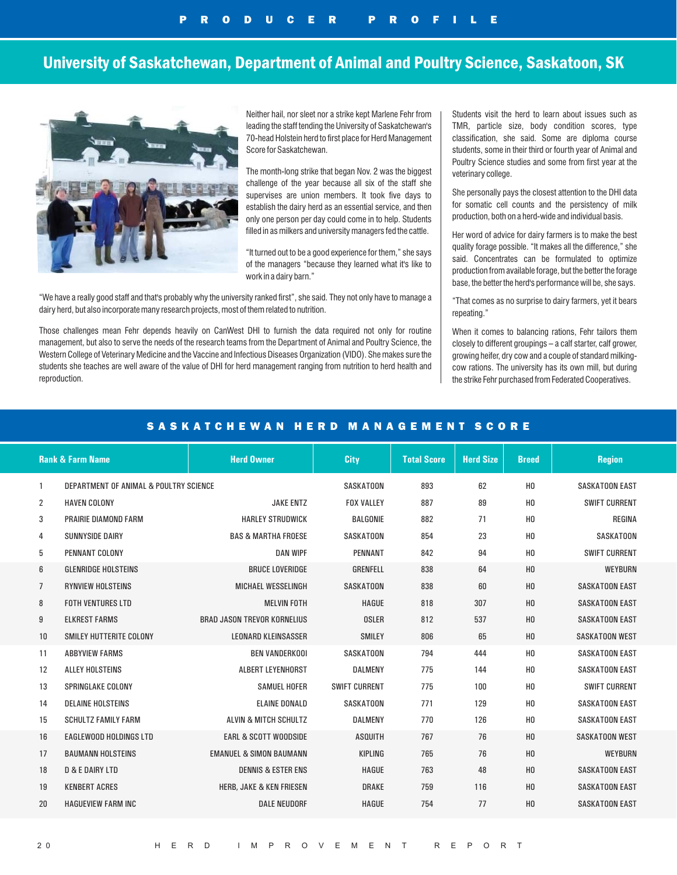## University of Saskatchewan, Department of Animal and Poultry Science, Saskatoon, SK



Neither hail, nor sleet nor a strike kept Marlene Fehr from leading the staff tending the University of Saskatchewan's 70-head Holstein herd to first place for Herd Management Score for Saskatchewan.

The month-long strike that began Nov. 2 was the biggest challenge of the year because all six of the staff she supervises are union members. It took five days to establish the dairy herd as an essential service, and then only one person per day could come in to help. Students filled in as milkers and university managers fed the cattle.

"It turned out to be a good experience for them," she says of the managers "because they learned what it's like to work in a dairy barn."

"We have a really good staff and that's probably why the university ranked first", she said. They not only have to manage a dairy herd, but also incorporate many research projects, most of them related to nutrition.

Those challenges mean Fehr depends heavily on CanWest DHI to furnish the data required not only for routine management, but also to serve the needs of the research teams from the Department of Animal and Poultry Science, the Western College of Veterinary Medicine and the Vaccine and Infectious Diseases Organization (VIDO). She makes sure the students she teaches are well aware of the value of DHI for herd management ranging from nutrition to herd health and reproduction.

Students visit the herd to learn about issues such as TMR, particle size, body condition scores, type classification, she said. Some are diploma course students, some in their third or fourth year of Animal and Poultry Science studies and some from first year at the veterinary college.

She personally pays the closest attention to the DHI data for somatic cell counts and the persistency of milk production, both on a herd-wide and individual basis.

Her word of advice for dairy farmers is to make the best quality forage possible. "It makes all the difference," she said. Concentrates can be formulated to optimize production from available forage, but the better the forage base, the better the herd's performance will be, she says.

"That comes as no surprise to dairy farmers, yet it bears repeating."

When it comes to balancing rations, Fehr tailors them closely to different groupings – a calf starter, calf grower, growing heifer, dry cow and a couple of standard milkingcow rations. The university has its own mill, but during the strike Fehr purchased from Federated Cooperatives.

### SASKATCHEWAN HERD MANAGEMENT SCORE

| <b>Rank &amp; Farm Name</b>                 | <b>Herd Owner</b>                  | <b>City</b>          | <b>Total Score</b> | <b>Herd Size</b> | <b>Breed</b>   | <b>Region</b>         |
|---------------------------------------------|------------------------------------|----------------------|--------------------|------------------|----------------|-----------------------|
| DEPARTMENT OF ANIMAL & POULTRY SCIENCE<br>1 |                                    | SASKATOON            | 893                | 62               | H <sub>0</sub> | <b>SASKATOON EAST</b> |
| 2<br><b>HAVEN COLONY</b>                    | <b>JAKE ENTZ</b>                   | <b>FOX VALLEY</b>    | 887                | 89               | H <sub>0</sub> | <b>SWIFT CURRENT</b>  |
| 3<br><b>PRAIRIE DIAMOND FARM</b>            | <b>HARLEY STRUDWICK</b>            | <b>BALGONIE</b>      | 882                | 71               | H <sub>0</sub> | REGINA                |
| <b>SUNNYSIDE DAIRY</b><br>4                 | <b>BAS &amp; MARTHA FROESE</b>     | <b>SASKATOON</b>     | 854                | 23               | H <sub>0</sub> | <b>SASKATOON</b>      |
| 5<br>PENNANT COLONY                         | <b>DAN WIPF</b>                    | <b>PENNANT</b>       | 842                | 94               | H <sub>0</sub> | <b>SWIFT CURRENT</b>  |
| <b>GLENRIDGE HOLSTEINS</b><br>6             | <b>BRUCE LOVERIDGE</b>             | <b>GRENFELL</b>      | 838                | 64               | H <sub>0</sub> | <b>WEYBURN</b>        |
| <b>RYNVIEW HOLSTEINS</b><br>$\overline{7}$  | MICHAEL WESSELINGH                 | <b>SASKATOON</b>     | 838                | 60               | H <sub>0</sub> | <b>SASKATOON EAST</b> |
| <b>FOTH VENTURES LTD</b><br>8               | <b>MELVIN FOTH</b>                 | <b>HAGUE</b>         | 818                | 307              | H <sub>0</sub> | <b>SASKATOON EAST</b> |
| 9<br><b>ELKREST FARMS</b>                   | <b>BRAD JASON TREVOR KORNELIUS</b> | <b>OSLER</b>         | 812                | 537              | H <sub>0</sub> | <b>SASKATOON EAST</b> |
| 10<br><b>SMILEY HUTTERITE COLONY</b>        | <b>LEONARD KLEINSASSER</b>         | <b>SMILEY</b>        | 806                | 65               | H <sub>0</sub> | <b>SASKATOON WEST</b> |
| 11<br><b>ABBYVIEW FARMS</b>                 | <b>BEN VANDERKOOI</b>              | <b>SASKATOON</b>     | 794                | 444              | H <sub>0</sub> | <b>SASKATOON EAST</b> |
| 12<br><b>ALLEY HOLSTEINS</b>                | <b>ALBERT LEYENHORST</b>           | <b>DALMENY</b>       | 775                | 144              | H <sub>0</sub> | <b>SASKATOON EAST</b> |
| 13<br><b>SPRINGLAKE COLONY</b>              | <b>SAMUEL HOFER</b>                | <b>SWIFT CURRENT</b> | 775                | 100              | H <sub>0</sub> | <b>SWIFT CURRENT</b>  |
| 14<br><b>DELAINE HOLSTEINS</b>              | <b>ELAINE DONALD</b>               | SASKATOON            | 771                | 129              | H <sub>0</sub> | <b>SASKATOON EAST</b> |
| <b>SCHULTZ FAMILY FARM</b><br>15            | ALVIN & MITCH SCHULTZ              | <b>DALMENY</b>       | 770                | 126              | H <sub>0</sub> | <b>SASKATOON EAST</b> |
| 16<br><b>EAGLEWOOD HOLDINGS LTD</b>         | <b>EARL &amp; SCOTT WOODSIDE</b>   | <b>ASQUITH</b>       | 767                | 76               | H <sub>0</sub> | <b>SASKATOON WEST</b> |
| 17<br><b>BAUMANN HOLSTEINS</b>              | <b>EMANUEL &amp; SIMON BAUMANN</b> | KIPLING              | 765                | 76               | H <sub>0</sub> | <b>WEYBURN</b>        |
| <b>D &amp; E DAIRY LTD</b><br>18            | <b>DENNIS &amp; ESTER ENS</b>      | <b>HAGUE</b>         | 763                | 48               | H <sub>0</sub> | <b>SASKATOON EAST</b> |
| <b>KENBERT ACRES</b><br>19                  | HERB, JAKE & KEN FRIESEN           | <b>DRAKE</b>         | 759                | 116              | H <sub>0</sub> | <b>SASKATOON EAST</b> |
| 20<br><b>HAGUEVIEW FARM INC</b>             | <b>DALE NEUDORF</b>                | <b>HAGUE</b>         | 754                | 77               | H <sub>0</sub> | <b>SASKATOON EAST</b> |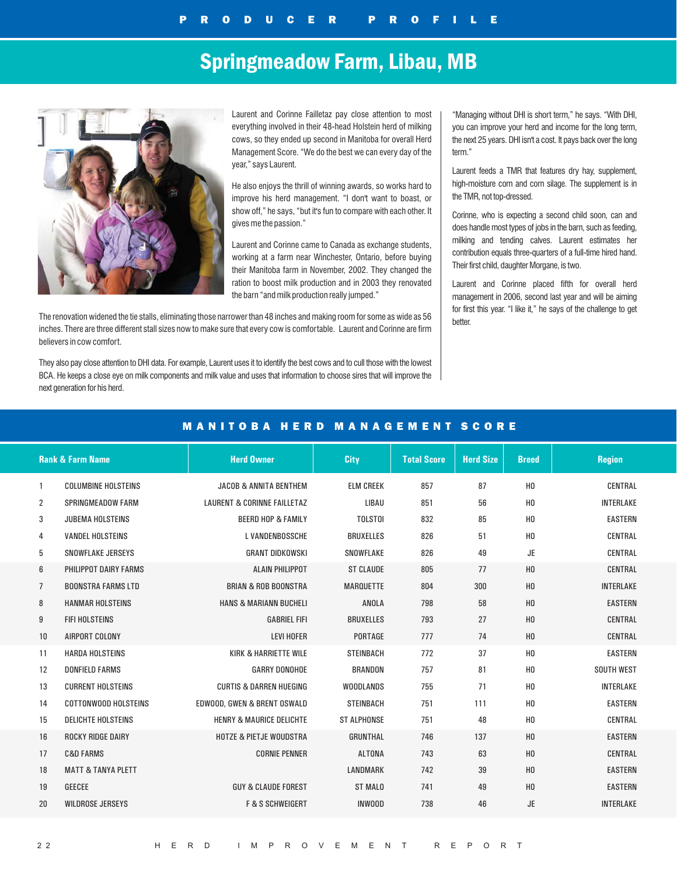# Springmeadow Farm, Libau, MB



Laurent and Corinne Failletaz pay close attention to most everything involved in their 48-head Holstein herd of milking cows, so they ended up second in Manitoba for overall Herd Management Score. "We do the best we can every day of the year," says Laurent.

He also enjoys the thrill of winning awards, so works hard to improve his herd management. "I don't want to boast, or show off," he says, "but it's fun to compare with each other. It gives me the passion."

Laurent and Corinne came to Canada as exchange students, working at a farm near Winchester, Ontario, before buying their Manitoba farm in November, 2002. They changed the ration to boost milk production and in 2003 they renovated the barn "and milk production really jumped."

The renovation widened the tie stalls, eliminating those narrower than 48 inches and making room for some as wide as 56 inches. There are three different stall sizes now to make sure that every cow is comfortable. Laurent and Corinne are firm believers in cow comfort.

They also pay close attention to DHI data. For example, Laurent uses it to identify the best cows and to cull those with the lowest BCA. He keeps a close eye on milk components and milk value and uses that information to choose sires that will improve the next generation for his herd.

"Managing without DHI is short term," he says. "With DHI, you can improve your herd and income for the long term, the next 25 years. DHI isn't a cost. It pays back over the long term."

Laurent feeds a TMR that features dry hay, supplement, high-moisture corn and corn silage. The supplement is in the TMR, not top-dressed.

Corinne, who is expecting a second child soon, can and does handle most types of jobs in the barn, such as feeding, milking and tending calves. Laurent estimates her contribution equals three-quarters of a full-time hired hand. Their first child, daughter Morgane, is two.

Laurent and Corinne placed fifth for overall herd management in 2006, second last year and will be aiming for first this year. "I like it," he says of the challenge to get better.

|                | <b>Rank &amp; Farm Name</b>   | <b>Herd Owner</b>                      | City               | <b>Total Score</b> | <b>Herd Size</b> | <b>Breed</b>   | <b>Region</b>     |  |  |  |  |  |
|----------------|-------------------------------|----------------------------------------|--------------------|--------------------|------------------|----------------|-------------------|--|--|--|--|--|
| -1             | <b>COLUMBINE HOLSTEINS</b>    | <b>JACOB &amp; ANNITA BENTHEM</b>      | <b>ELM CREEK</b>   | 857                | 87               | H <sub>0</sub> | CENTRAL           |  |  |  |  |  |
| 2              | <b>SPRINGMEADOW FARM</b>      | <b>LAURENT &amp; CORINNE FAILLETAZ</b> | LIBAU              | 851                | 56               | H <sub>0</sub> | <b>INTERLAKE</b>  |  |  |  |  |  |
| 3              | <b>JUBEMA HOLSTEINS</b>       | <b>BEERD HOP &amp; FAMILY</b>          | <b>TOLSTOI</b>     | 832                | 85               | H <sub>0</sub> | <b>EASTERN</b>    |  |  |  |  |  |
| 4              | <b>VANDEL HOLSTEINS</b>       | L VANDENBOSSCHE                        | <b>BRUXELLES</b>   | 826                | 51               | H <sub>0</sub> | CENTRAL           |  |  |  |  |  |
| 5              | SNOWFLAKE JERSEYS             | <b>GRANT DIDKOWSKI</b>                 | SNOWFLAKE          | 826                | 49               | <b>JE</b>      | CENTRAL           |  |  |  |  |  |
| 6              | PHILIPPOT DAIRY FARMS         | <b>ALAIN PHILIPPOT</b>                 | <b>ST CLAUDE</b>   | 805                | 77               | H <sub>0</sub> | CENTRAL           |  |  |  |  |  |
| $\overline{7}$ | <b>BOONSTRA FARMS LTD</b>     | <b>BRIAN &amp; ROB BOONSTRA</b>        | <b>MARQUETTE</b>   | 804                | 300              | H <sub>0</sub> | <b>INTERLAKE</b>  |  |  |  |  |  |
| 8              | <b>HANMAR HOLSTEINS</b>       | <b>HANS &amp; MARIANN BUCHELI</b>      | ANOLA              | 798                | 58               | H <sub>0</sub> | <b>EASTERN</b>    |  |  |  |  |  |
| 9              | <b>FIFI HOLSTEINS</b>         | <b>GABRIEL FIFI</b>                    | <b>BRUXELLES</b>   | 793                | 27               | H <sub>0</sub> | CENTRAL           |  |  |  |  |  |
| 10             | AIRPORT COLONY                | <b>LEVI HOFER</b>                      | PORTAGE            | 777                | 74               | H <sub>0</sub> | CENTRAL           |  |  |  |  |  |
| 11             | <b>HARDA HOLSTEINS</b>        | <b>KIRK &amp; HARRIETTE WILE</b>       | <b>STEINBACH</b>   | 772                | 37               | H <sub>0</sub> | <b>EASTERN</b>    |  |  |  |  |  |
| 12             | <b>DONFIELD FARMS</b>         | <b>GARRY DONOHOE</b>                   | <b>BRANDON</b>     | 757                | 81               | H <sub>0</sub> | <b>SOUTH WEST</b> |  |  |  |  |  |
| 13             | <b>CURRENT HOLSTEINS</b>      | <b>CURTIS &amp; DARREN HUEGING</b>     | <b>WOODLANDS</b>   | 755                | 71               | H <sub>0</sub> | <b>INTERLAKE</b>  |  |  |  |  |  |
| 14             | <b>COTTONWOOD HOLSTEINS</b>   | EDWOOD, GWEN & BRENT OSWALD            | <b>STEINBACH</b>   | 751                | 111              | H <sub>0</sub> | <b>EASTERN</b>    |  |  |  |  |  |
| 15             | <b>DELICHTE HOLSTEINS</b>     | <b>HENRY &amp; MAURICE DELICHTE</b>    | <b>ST ALPHONSE</b> | 751                | 48               | H <sub>0</sub> | <b>CENTRAL</b>    |  |  |  |  |  |
| 16             | <b>ROCKY RIDGE DAIRY</b>      | <b>HOTZE &amp; PIETJE WOUDSTRA</b>     | <b>GRUNTHAL</b>    | 746                | 137              | H <sub>0</sub> | <b>EASTERN</b>    |  |  |  |  |  |
| 17             | <b>C&amp;D FARMS</b>          | <b>CORNIE PENNER</b>                   | <b>ALTONA</b>      | 743                | 63               | H <sub>0</sub> | CENTRAL           |  |  |  |  |  |
| 18             | <b>MATT &amp; TANYA PLETT</b> |                                        | <b>LANDMARK</b>    | 742                | 39               | H <sub>0</sub> | <b>EASTERN</b>    |  |  |  |  |  |
| 19             | <b>GEECEE</b>                 | <b>GUY &amp; CLAUDE FOREST</b>         | <b>ST MALO</b>     | 741                | 49               | H <sub>0</sub> | <b>EASTERN</b>    |  |  |  |  |  |
| 20             | <b>WILDROSE JERSEYS</b>       | <b>F &amp; S SCHWEIGERT</b>            | <b>INWOOD</b>      | 738                | 46               | <b>JE</b>      | <b>INTERLAKE</b>  |  |  |  |  |  |

### MANITOBA HERD MANAGEMENT SCORE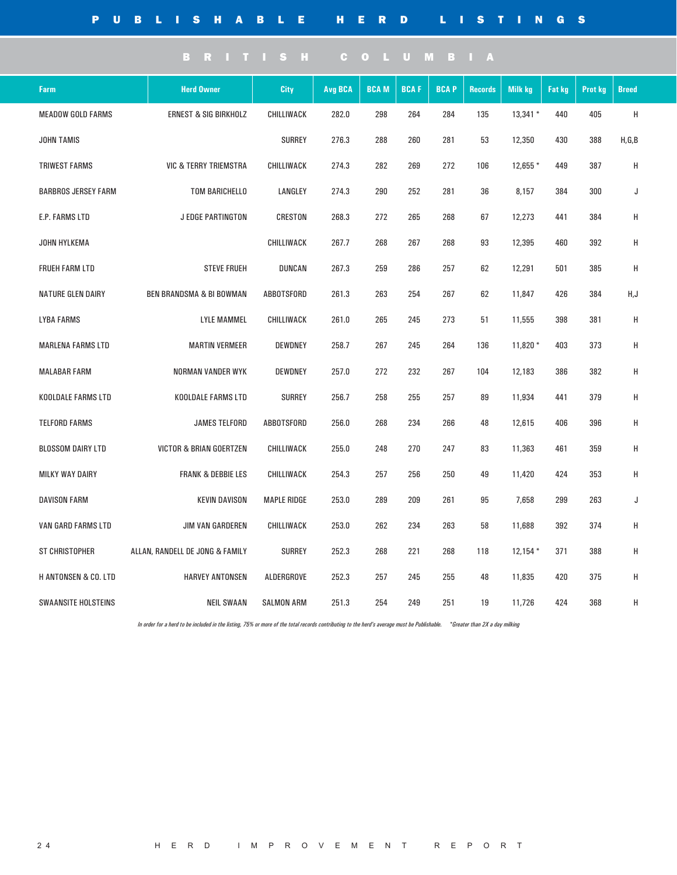| Farm                            | <b>Herd Owner</b>                   | City               | Avg BCA | <b>BCAM</b> | <b>BCAF</b> | <b>BCAP</b> | <b>Records</b> | <b>Milk kg</b> | <b>Fat kg</b> | Prot kg | <b>Breed</b> |
|---------------------------------|-------------------------------------|--------------------|---------|-------------|-------------|-------------|----------------|----------------|---------------|---------|--------------|
| <b>MEADOW GOLD FARMS</b>        | <b>ERNEST &amp; SIG BIRKHOLZ</b>    | CHILLIWACK         | 282.0   | 298         | 264         | 284         | 135            | 13,341 *       | 440           | 405     | Н            |
| <b>JOHN TAMIS</b>               |                                     | <b>SURREY</b>      | 276.3   | 288         | 260         | 281         | 53             | 12,350         | 430           | 388     | H, G, B      |
| <b>TRIWEST FARMS</b>            | <b>VIC &amp; TERRY TRIEMSTRA</b>    | CHILLIWACK         | 274.3   | 282         | 269         | 272         | 106            | 12,655 *       | 449           | 387     | Н            |
| <b>BARBROS JERSEY FARM</b>      | <b>TOM BARICHELLO</b>               | LANGLEY            | 274.3   | 290         | 252         | 281         | 36             | 8,157          | 384           | 300     | J            |
| E.P. FARMS LTD                  | <b>J EDGE PARTINGTON</b>            | CRESTON            | 268.3   | 272         | 265         | 268         | 67             | 12,273         | 441           | 384     | Н            |
| JOHN HYLKEMA                    |                                     | CHILLIWACK         | 267.7   | 268         | 267         | 268         | 93             | 12,395         | 460           | 392     | Н            |
| <b>FRUEH FARM LTD</b>           | <b>STEVE FRUEH</b>                  | <b>DUNCAN</b>      | 267.3   | 259         | 286         | 257         | 62             | 12,291         | 501           | 385     | Н            |
| <b>NATURE GLEN DAIRY</b>        | <b>BEN BRANDSMA &amp; BI BOWMAN</b> | <b>ABBOTSFORD</b>  | 261.3   | 263         | 254         | 267         | 62             | 11,847         | 426           | 384     | H,J          |
| <b>LYBA FARMS</b>               | <b>LYLE MAMMEL</b>                  | CHILLIWACK         | 261.0   | 265         | 245         | 273         | 51             | 11,555         | 398           | 381     | Н            |
| <b>MARLENA FARMS LTD</b>        | <b>MARTIN VERMEER</b>               | DEWDNEY            | 258.7   | 267         | 245         | 264         | 136            | $11,820*$      | 403           | 373     | Н            |
| <b>MALABAR FARM</b>             | <b>NORMAN VANDER WYK</b>            | <b>DEWDNEY</b>     | 257.0   | 272         | 232         | 267         | 104            | 12,183         | 386           | 382     | Н            |
| KOOLDALE FARMS LTD              | KOOLDALE FARMS LTD                  | <b>SURREY</b>      | 256.7   | 258         | 255         | 257         | 89             | 11,934         | 441           | 379     | Н            |
| <b>TELFORD FARMS</b>            | <b>JAMES TELFORD</b>                | <b>ABBOTSFORD</b>  | 256.0   | 268         | 234         | 266         | 48             | 12,615         | 406           | 396     | Н            |
| <b>BLOSSOM DAIRY LTD</b>        | <b>VICTOR &amp; BRIAN GOERTZEN</b>  | CHILLIWACK         | 255.0   | 248         | 270         | 247         | 83             | 11,363         | 461           | 359     | Н            |
| <b>MILKY WAY DAIRY</b>          | <b>FRANK &amp; DEBBIE LES</b>       | CHILLIWACK         | 254.3   | 257         | 256         | 250         | 49             | 11,420         | 424           | 353     | H            |
| <b>DAVISON FARM</b>             | <b>KEVIN DAVISON</b>                | <b>MAPLE RIDGE</b> | 253.0   | 289         | 209         | 261         | 95             | 7,658          | 299           | 263     | J            |
| <b>VAN GARD FARMS LTD</b>       | JIM VAN GARDEREN                    | <b>CHILLIWACK</b>  | 253.0   | 262         | 234         | 263         | 58             | 11,688         | 392           | 374     | H            |
| ST CHRISTOPHER                  | ALLAN, RANDELL DE JONG & FAMILY     | <b>SURREY</b>      | 252.3   | 268         | 221         | 268         | 118            | $12,154*$      | 371           | 388     | Н            |
| <b>H ANTONSEN &amp; CO. LTD</b> | <b>HARVEY ANTONSEN</b>              | ALDERGROVE         | 252.3   | 257         | 245         | 255         | 48             | 11,835         | 420           | 375     | Н            |
| <b>SWAANSITE HOLSTEINS</b>      | <b>NEIL SWAAN</b>                   | <b>SALMON ARM</b>  | 251.3   | 254         | 249         | 251         | 19             | 11,726         | 424           | 368     | Н            |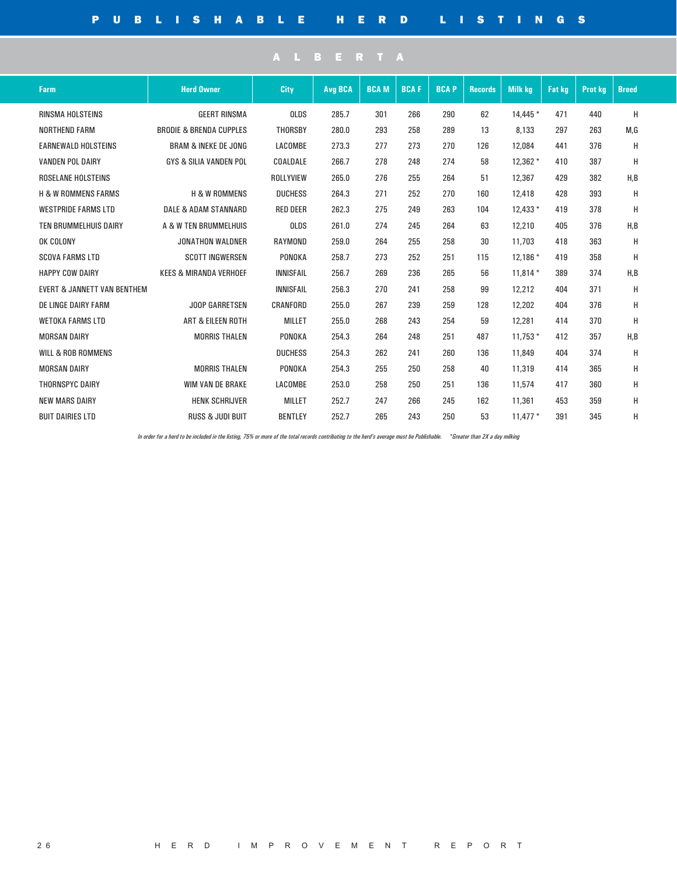| Farm                                   | <b>Herd Owner</b>                  | City             | <b>Avg BCA</b> | <b>BCAM</b> | <b>BCAF</b> | <b>BCAP</b> | <b>Records</b> | <b>Milk kg</b> | <b>Fat kg</b> | <b>Prot kg</b> | <b>Breed</b> |  |
|----------------------------------------|------------------------------------|------------------|----------------|-------------|-------------|-------------|----------------|----------------|---------------|----------------|--------------|--|
| RINSMA HOLSTEINS                       | <b>GEERT RINSMA</b>                | <b>OLDS</b>      | 285.7          | 301         | 266         | 290         | 62             | 14,445 *       | 471           | 440            | Н            |  |
| <b>NORTHEND FARM</b>                   | <b>BRODIE &amp; BRENDA CUPPLES</b> | <b>THORSBY</b>   | 280.0          | 293         | 258         | 289         | 13             | 8,133          | 297           | 263            | M,G          |  |
| <b>EARNEWALD HOLSTEINS</b>             | <b>BRAM &amp; INEKE DE JONG</b>    | LACOMBE          | 273.3          | 277         | 273         | 270         | 126            | 12,084         | 441           | 376            | Н            |  |
| <b>VANDEN POL DAIRY</b>                | <b>GYS &amp; SILIA VANDEN POL</b>  | COALDALE         | 266.7          | 278         | 248         | 274         | 58             | 12,362 *       | 410           | 387            | Н            |  |
| <b>ROSELANE HOLSTEINS</b>              |                                    | ROLLYVIEW        | 265.0          | 276         | 255         | 264         | 51             | 12,367         | 429           | 382            | H,B          |  |
| <b>H &amp; W ROMMENS FARMS</b>         | <b>H &amp; W ROMMENS</b>           | <b>DUCHESS</b>   | 264.3          | 271         | 252         | 270         | 160            | 12,418         | 428           | 393            | Н            |  |
| <b>WESTPRIDE FARMS LTD</b>             | <b>DALE &amp; ADAM STANNARD</b>    | <b>RED DEER</b>  | 262.3          | 275         | 249         | 263         | 104            | $12.433*$      | 419           | 378            | Н            |  |
| TEN BRUMMELHUIS DAIRY                  | A & W TEN BRUMMELHUIS              | OLDS             | 261.0          | 274         | 245         | 264         | 63             | 12,210         | 405           | 376            | H.B          |  |
| OK COLONY                              | <b>JONATHON WALDNER</b>            | <b>RAYMOND</b>   | 259.0          | 264         | 255         | 258         | 30             | 11,703         | 418           | 363            | Н            |  |
| <b>SCOVA FARMS LTD</b>                 | <b>SCOTT INGWERSEN</b>             | PONOKA           | 258.7          | 273         | 252         | 251         | 115            | $12.186*$      | 419           | 358            | Н            |  |
| <b>HAPPY COW DAIRY</b>                 | <b>KEES &amp; MIRANDA VERHOEF</b>  | <b>INNISFAIL</b> | 256.7          | 269         | 236         | 265         | 56             | $11.814*$      | 389           | 374            | H.B          |  |
| <b>EVERT &amp; JANNETT VAN BENTHEM</b> |                                    | <b>INNISFAIL</b> | 256.3          | 270         | 241         | 258         | 99             | 12,212         | 404           | 371            | н            |  |
| DE LINGE DAIRY FARM                    | JOOP GARRETSEN                     | CRANFORD         | 255.0          | 267         | 239         | 259         | 128            | 12,202         | 404           | 376            | H            |  |
| <b>WETOKA FARMS LTD</b>                | <b>ART &amp; EILEEN ROTH</b>       | <b>MILLET</b>    | 255.0          | 268         | 243         | 254         | 59             | 12,281         | 414           | 370            | Н            |  |
| <b>MORSAN DAIRY</b>                    | <b>MORRIS THALEN</b>               | PONOKA           | 254.3          | 264         | 248         | 251         | 487            | $11.753*$      | 412           | 357            | H,B          |  |
| <b>WILL &amp; ROB ROMMENS</b>          |                                    | <b>DUCHESS</b>   | 254.3          | 262         | 241         | 260         | 136            | 11,849         | 404           | 374            | Н            |  |
| <b>MORSAN DAIRY</b>                    | <b>MORRIS THALEN</b>               | PONOKA           | 254.3          | 255         | 250         | 258         | 40             | 11,319         | 414           | 365            | н            |  |
| <b>THORNSPYC DAIRY</b>                 | <b>WIM VAN DE BRAKE</b>            | LACOMBE          | 253.0          | 258         | 250         | 251         | 136            | 11,574         | 417           | 360            | H            |  |
| <b>NEW MARS DAIRY</b>                  | <b>HENK SCHRIJVER</b>              | <b>MILLET</b>    | 252.7          | 247         | 266         | 245         | 162            | 11,361         | 453           | 359            | н            |  |
| <b>BUIT DAIRIES LTD</b>                | <b>RUSS &amp; JUDI BUIT</b>        | <b>BENTLEY</b>   | 252.7          | 265         | 243         | 250         | 53             | $11.477*$      | 391           | 345            | Н            |  |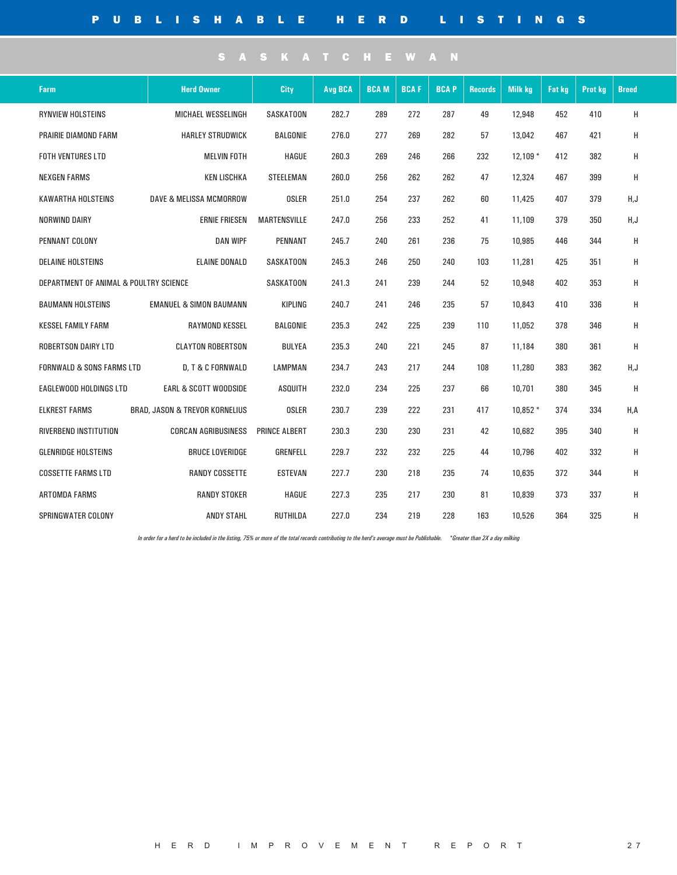| <b>Farm</b>                             | <b>Herd Owner</b>                  | City                 | <b>Avg BCA</b> | <b>BCAM</b> | <b>BCAF</b> | <b>BCAP</b> | <b>Records</b> | <b>Milk kg</b> | <b>Fat kg</b> | <b>Prot kg</b> | <b>Breed</b> |
|-----------------------------------------|------------------------------------|----------------------|----------------|-------------|-------------|-------------|----------------|----------------|---------------|----------------|--------------|
| <b>RYNVIEW HOLSTEINS</b>                | MICHAEL WESSELINGH                 | SASKATOON            | 282.7          | 289         | 272         | 287         | 49             | 12,948         | 452           | 410            | H            |
| PRAIRIE DIAMOND FARM                    | <b>HARLEY STRUDWICK</b>            | BALGONIE             | 276.0          | 277         | 269         | 282         | 57             | 13,042         | 467           | 421            | H            |
| FOTH VENTURES LTD<br><b>MELVIN FOTH</b> |                                    | HAGUE                | 260.3          | 269         | 246         | 266         | 232            | $12,109*$      | 412           | 382            | H            |
| <b>NEXGEN FARMS</b>                     | <b>KEN LISCHKA</b>                 | <b>STEELEMAN</b>     | 260.0          | 256         | 262         | 262         | 47             | 12,324         | 467           | 399            | H            |
| KAWARTHA HOLSTEINS                      | <b>DAVE &amp; MELISSA MCMORROW</b> | <b>OSLER</b>         | 251.0          | 254         | 237         | 262         | 60             | 11,425         | 407           | 379            | H,J          |
| NORWIND DAIRY                           | <b>ERNIE FRIESEN</b>               | <b>MARTENSVILLE</b>  | 247.0          | 256         | 233         | 252         | 41             | 11,109         | 379           | 350            | H, J         |
| PENNANT COLONY                          | <b>DAN WIPF</b>                    | <b>PENNANT</b>       | 245.7          | 240         | 261         | 236         | 75             | 10,985         | 446           | 344            | H            |
| <b>DELAINE HOLSTEINS</b>                | <b>ELAINE DONALD</b>               | SASKATOON            | 245.3          | 246         | 250         | 240         | 103            | 11,281         | 425           | 351            | H            |
| DEPARTMENT OF ANIMAL & POULTRY SCIENCE  |                                    | SASKATOON            | 241.3          | 241         | 239         | 244         | 52             | 10,948         | 402           | 353            | H            |
| <b>BAUMANN HOLSTEINS</b>                | <b>EMANUEL &amp; SIMON BAUMANN</b> | <b>KIPLING</b>       | 240.7          | 241         | 246         | 235         | 57             | 10,843         | 410           | 336            | H            |
| <b>KESSEL FAMILY FARM</b>               | RAYMOND KESSEL                     | BALGONIE             | 235.3          | 242         | 225         | 239         | 110            | 11,052         | 378           | 346            | H            |
| <b>ROBERTSON DAIRY LTD</b>              | <b>CLAYTON ROBERTSON</b>           | <b>BULYEA</b>        | 235.3          | 240         | 221         | 245         | 87             | 11.184         | 380           | 361            | H            |
| <b>FORNWALD &amp; SONS FARMS LTD</b>    | D, T & C FORNWALD                  | <b>LAMPMAN</b>       | 234.7          | 243         | 217         | 244         | 108            | 11,280         | 383           | 362            | H,J          |
| <b>EAGLEWOOD HOLDINGS LTD</b>           | <b>EARL &amp; SCOTT WOODSIDE</b>   | <b>ASQUITH</b>       | 232.0          | 234         | 225         | 237         | 66             | 10,701         | 380           | 345            | Н            |
| <b>ELKREST FARMS</b>                    | BRAD, JASON & TREVOR KORNELIUS     | <b>OSLER</b>         | 230.7          | 239         | 222         | 231         | 417            | 10.852 *       | 374           | 334            | H,A          |
| RIVERBEND INSTITUTION                   | <b>CORCAN AGRIBUSINESS</b>         | <b>PRINCE ALBERT</b> | 230.3          | 230         | 230         | 231         | 42             | 10,682         | 395           | 340            | H            |
| <b>GLENRIDGE HOLSTEINS</b>              | <b>BRUCE LOVERIDGE</b>             | <b>GRENFELL</b>      | 229.7          | 232         | 232         | 225         | 44             | 10,796         | 402           | 332            | H            |
| <b>COSSETTE FARMS LTD</b>               | <b>RANDY COSSETTE</b>              | <b>ESTEVAN</b>       | 227.7          | 230         | 218         | 235         | 74             | 10,635         | 372           | 344            | H            |
| ARTOMDA FARMS                           | <b>RANDY STOKER</b>                | HAGUE                | 227.3          | 235         | 217         | 230         | 81             | 10,839         | 373           | 337            | H            |
| SPRINGWATER COLONY                      | <b>ANDY STAHL</b>                  | <b>RUTHILDA</b>      | 227.0          | 234         | 219         | 228         | 163            | 10,526         | 364           | 325            | H            |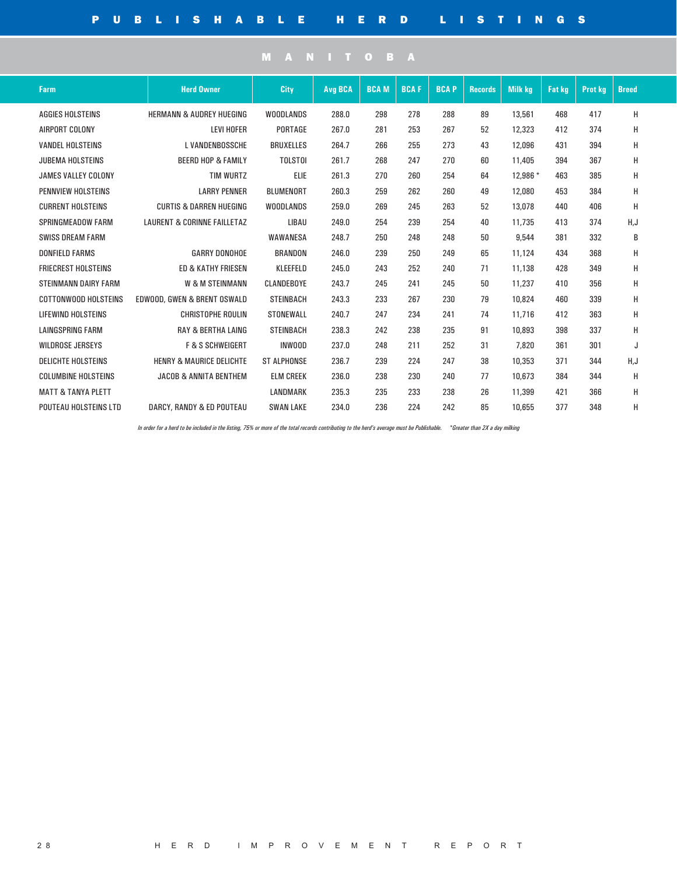| <b>Farm</b>                   | <b>Herd Owner</b>                      | City               | <b>Avg BCA</b> | <b>BCAM</b> | <b>BCAF</b> | <b>BCAP</b> | <b>Records</b> | <b>Milk kg</b> | <b>Fat kg</b> | <b>Prot kg</b> | <b>Breed</b> |  |
|-------------------------------|----------------------------------------|--------------------|----------------|-------------|-------------|-------------|----------------|----------------|---------------|----------------|--------------|--|
| <b>AGGIES HOLSTEINS</b>       | <b>HERMANN &amp; AUDREY HUEGING</b>    | <b>WOODLANDS</b>   | 288.0          | 298         | 278         | 288         | 89             | 13,561         | 468           | 417            | н            |  |
| AIRPORT COLONY                | <b>LEVI HOFER</b>                      | PORTAGE            | 267.0          | 281         | 253         | 267         | 52             | 12,323         | 412           | 374            | Н            |  |
| <b>VANDEL HOLSTEINS</b>       | <b>L VANDENBOSSCHE</b>                 | <b>BRUXELLES</b>   | 264.7          | 266         | 255         | 273         | 43             | 12,096         | 431           | 394            | Н            |  |
| <b>JUBEMA HOLSTEINS</b>       | <b>BEERD HOP &amp; FAMILY</b>          | <b>TOLSTOI</b>     | 261.7          | 268         | 247         | 270         | 60             | 11,405         | 394           | 367            | Н            |  |
| <b>JAMES VALLEY COLONY</b>    | <b>TIM WURTZ</b>                       | <b>ELIE</b>        | 261.3          | 270         | 260         | 254         | 64             | 12,986 *       | 463           | 385            | H            |  |
| PENNVIEW HOLSTEINS            | <b>LARRY PENNER</b>                    | <b>BLUMENORT</b>   | 260.3          | 259         | 262         | 260         | 49             | 12,080         | 453           | 384            | Н            |  |
| <b>CURRENT HOLSTEINS</b>      | <b>CURTIS &amp; DARREN HUEGING</b>     | <b>WOODLANDS</b>   | 259.0          | 269         | 245         | 263         | 52             | 13,078         | 440           | 406            | Н            |  |
| <b>SPRINGMEADOW FARM</b>      | <b>LAURENT &amp; CORINNE FAILLETAZ</b> | LIBAU              | 249.0          | 254         | 239         | 254         | 40             | 11,735         | 413           | 374            | H,J          |  |
| <b>SWISS DREAM FARM</b>       |                                        | WAWANESA           | 248.7          | 250         | 248         | 248         | 50             | 9,544          | 381           | 332            | В            |  |
| <b>DONFIELD FARMS</b>         | <b>GARRY DONOHOE</b>                   | <b>BRANDON</b>     | 246.0          | 239         | 250         | 249         | 65             | 11,124         | 434           | 368            | Н            |  |
| <b>FRIECREST HOLSTEINS</b>    | <b>ED &amp; KATHY FRIESEN</b>          | KLEEFELD           | 245.0          | 243         | 252         | 240         | 71             | 11,138         | 428           | 349            | Н            |  |
| <b>STEINMANN DAIRY FARM</b>   | W & M STEINMANN                        | CLANDEBOYE         | 243.7          | 245         | 241         | 245         | 50             | 11,237         | 410           | 356            | Н            |  |
| COTTONWOOD HOLSTEINS          | EDWOOD, GWEN & BRENT OSWALD            | <b>STEINBACH</b>   | 243.3          | 233         | 267         | 230         | 79             | 10,824         | 460           | 339            | Н            |  |
| LIFEWIND HOLSTEINS            | <b>CHRISTOPHE ROULIN</b>               | <b>STONEWALL</b>   | 240.7          | 247         | 234         | 241         | 74             | 11,716         | 412           | 363            | Н            |  |
| <b>LAINGSPRING FARM</b>       | <b>RAY &amp; BERTHA LAING</b>          | <b>STEINBACH</b>   | 238.3          | 242         | 238         | 235         | 91             | 10,893         | 398           | 337            | Н            |  |
| <b>WILDROSE JERSEYS</b>       | <b>F &amp; S SCHWEIGERT</b>            | <b>INWOOD</b>      | 237.0          | 248         | 211         | 252         | 31             | 7,820          | 361           | 301            | J            |  |
| <b>DELICHTE HOLSTEINS</b>     | <b>HENRY &amp; MAURICE DELICHTE</b>    | <b>ST ALPHONSE</b> | 236.7          | 239         | 224         | 247         | 38             | 10,353         | 371           | 344            | H,J          |  |
| <b>COLUMBINE HOLSTEINS</b>    | <b>JACOB &amp; ANNITA BENTHEM</b>      | <b>ELM CREEK</b>   | 236.0          | 238         | 230         | 240         | 77             | 10,673         | 384           | 344            | Н            |  |
| <b>MATT &amp; TANYA PLETT</b> |                                        | LANDMARK           | 235.3          | 235         | 233         | 238         | 26             | 11,399         | 421           | 366            | Н            |  |
| POUTEAU HOLSTEINS LTD         | DARCY, RANDY & ED POUTEAU              | <b>SWAN LAKE</b>   | 234.0          | 236         | 224         | 242         | 85             | 10,655         | 377           | 348            | Н            |  |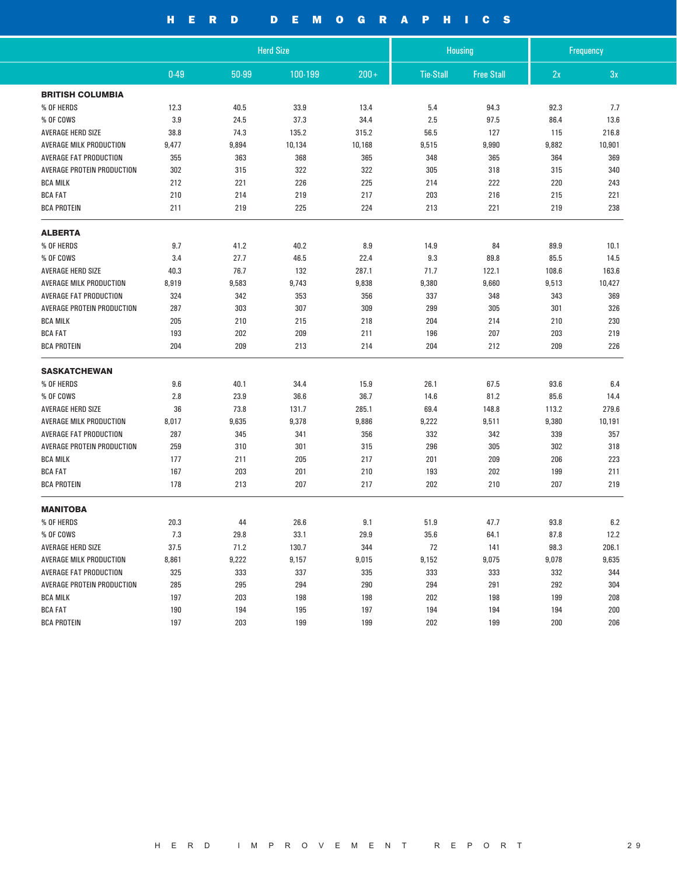## HERD DEMOGRAPHICS

|                               |       |       | <b>Herd Size</b> |         | <b>Housing</b>   |                   |       | Frequency |
|-------------------------------|-------|-------|------------------|---------|------------------|-------------------|-------|-----------|
|                               | 0.49  | 50-99 | 100-199          | $200 +$ | <b>Tie-Stall</b> | <b>Free Stall</b> | 2x    | 3x        |
| <b>BRITISH COLUMBIA</b>       |       |       |                  |         |                  |                   |       |           |
| % OF HERDS                    | 12.3  | 40.5  | 33.9             | 13.4    | 5.4              | 94.3              | 92.3  | 7.7       |
| % OF COWS                     | 3.9   | 24.5  | 37.3             | 34.4    | 2.5              | 97.5              | 86.4  | 13.6      |
| AVERAGE HERD SIZE             | 38.8  | 74.3  | 135.2            | 315.2   | 56.5             | 127               | 115   | 216.8     |
| AVERAGE MILK PRODUCTION       | 9,477 | 9,894 | 10,134           | 10,168  | 9,515            | 9,990             | 9,882 | 10,901    |
| <b>AVERAGE FAT PRODUCTION</b> | 355   | 363   | 368              | 365     | 348              | 365               | 364   | 369       |
| AVERAGE PROTEIN PRODUCTION    | 302   | 315   | 322              | 322     | 305              | 318               | 315   | 340       |
| <b>BCA MILK</b>               | 212   | 221   | 226              | 225     | 214              | 222               | 220   | 243       |
| <b>BCA FAT</b>                | 210   | 214   | 219              | 217     | 203              | 216               | 215   | 221       |
| <b>BCA PROTEIN</b>            | 211   | 219   | 225              | 224     | 213              | 221               | 219   | 238       |
| <b>ALBERTA</b>                |       |       |                  |         |                  |                   |       |           |
| % OF HERDS                    | 9.7   | 41.2  | 40.2             | 8.9     | 14.9             | 84                | 89.9  | 10.1      |
| % OF COWS                     | 3.4   | 27.7  | 46.5             | 22.4    | 9.3              | 89.8              | 85.5  | 14.5      |
| <b>AVERAGE HERD SIZE</b>      | 40.3  | 76.7  | 132              | 287.1   | 71.7             | 122.1             | 108.6 | 163.6     |
| AVERAGE MILK PRODUCTION       | 8,919 | 9,583 | 9,743            | 9,838   | 9,380            | 9,660             | 9,513 | 10,427    |
| AVERAGE FAT PRODUCTION        | 324   | 342   | 353              | 356     | 337              | 348               | 343   | 369       |
| AVERAGE PROTEIN PRODUCTION    | 287   | 303   | 307              | 309     | 299              | 305               | 301   | 326       |
| <b>BCA MILK</b>               | 205   | 210   | 215              | 218     | 204              | 214               | 210   | 230       |
| <b>BCA FAT</b>                | 193   | 202   | 209              | 211     | 196              | 207               | 203   | 219       |
| <b>BCA PROTEIN</b>            | 204   | 209   | 213              | 214     | 204              | 212               | 209   | 226       |
| <b>SASKATCHEWAN</b>           |       |       |                  |         |                  |                   |       |           |
| % OF HERDS                    | 9.6   | 40.1  | 34.4             | 15.9    | 26.1             | 67.5              | 93.6  | 6.4       |
| % OF COWS                     | 2.8   | 23.9  | 36.6             | 36.7    | 14.6             | 81.2              | 85.6  | 14.4      |
| AVERAGE HERD SIZE             | 36    | 73.8  | 131.7            | 285.1   | 69.4             | 148.8             | 113.2 | 279.6     |
| AVERAGE MILK PRODUCTION       | 8,017 | 9,635 | 9,378            | 9,886   | 9,222            | 9,511             | 9,380 | 10,191    |
| <b>AVERAGE FAT PRODUCTION</b> | 287   | 345   | 341              | 356     | 332              | 342               | 339   | 357       |
| AVERAGE PROTEIN PRODUCTION    | 259   | 310   | 301              | 315     | 296              | 305               | 302   | 318       |
| <b>BCA MILK</b>               | 177   | 211   | 205              | 217     | 201              | 209               | 206   | 223       |
| <b>BCA FAT</b>                | 167   | 203   | 201              | 210     | 193              | 202               | 199   | 211       |
| <b>BCA PROTEIN</b>            | 178   | 213   | 207              | 217     | 202              | 210               | 207   | 219       |
| <b>MANITOBA</b>               |       |       |                  |         |                  |                   |       |           |
| % OF HERDS                    | 20.3  | 44    | 26.6             | 9.1     | 51.9             | 47.7              | 93.8  | 6.2       |
| % OF COWS                     | 7.3   | 29.8  | 33.1             | 29.9    | 35.6             | 64.1              | 87.8  | 12.2      |
| AVERAGE HERD SIZE             | 37.5  | 71.2  | 130.7            | 344     | 72               | 141               | 98.3  | 206.1     |
| AVERAGE MILK PRODUCTION       | 8,861 | 9,222 | 9,157            | 9,015   | 9,152            | 9,075             | 9,078 | 9,635     |
| <b>AVERAGE FAT PRODUCTION</b> | 325   | 333   | 337              | 335     | 333              | 333               | 332   | 344       |
| AVERAGE PROTEIN PRODUCTION    | 285   | 295   | 294              | 290     | 294              | 291               | 292   | 304       |
| <b>BCA MILK</b>               | 197   | 203   | 198              | 198     | 202              | 198               | 199   | 208       |
| <b>BCA FAT</b>                | 190   | 194   | 195              | 197     | 194              | 194               | 194   | 200       |
| <b>BCA PROTEIN</b>            | 197   | 203   | 199              | 199     | 202              | 199               | 200   | 206       |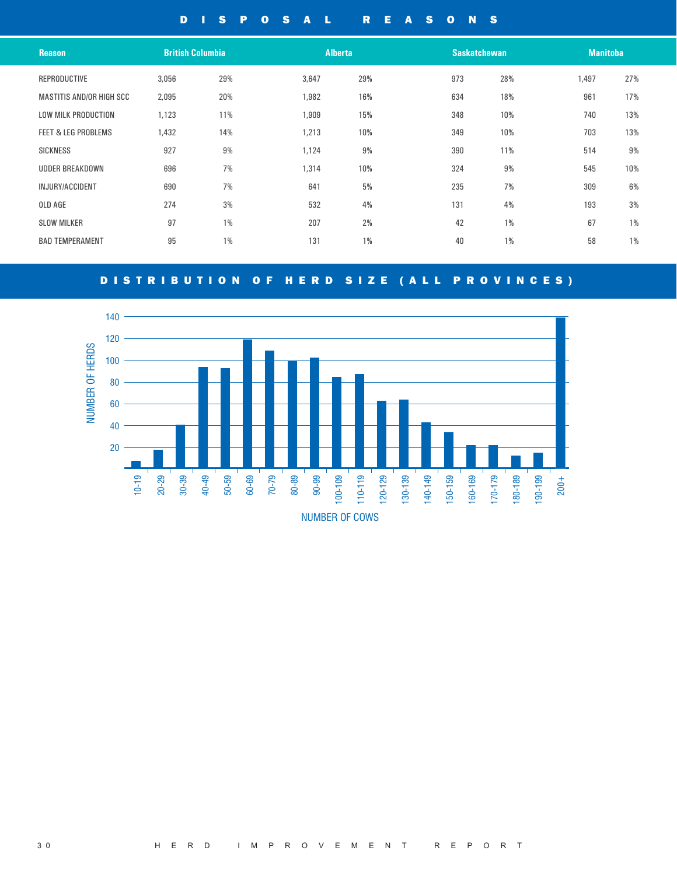### DISPOSAL REASONS

| <b>Reason</b>                   | <b>British Columbia</b> |       | <b>Alberta</b> |       |     | <b>Saskatchewan</b> |       | <b>Manitoba</b> |
|---------------------------------|-------------------------|-------|----------------|-------|-----|---------------------|-------|-----------------|
| REPRODUCTIVE                    | 3,056                   | 29%   | 3,647          | 29%   | 973 | 28%                 | 1,497 | 27%             |
| <b>MASTITIS AND/OR HIGH SCC</b> | 2,095                   | 20%   | 1,982          | 16%   | 634 | 18%                 | 961   | 17%             |
| <b>LOW MILK PRODUCTION</b>      | 1,123                   | 11%   | 1,909          | 15%   | 348 | 10%                 | 740   | 13%             |
| <b>FEET &amp; LEG PROBLEMS</b>  | 1,432                   | 14%   | 1,213          | 10%   | 349 | 10%                 | 703   | 13%             |
| <b>SICKNESS</b>                 | 927                     | 9%    | 1,124          | 9%    | 390 | 11%                 | 514   | 9%              |
| <b>UDDER BREAKDOWN</b>          | 696                     | 7%    | 1,314          | 10%   | 324 | 9%                  | 545   | 10%             |
| INJURY/ACCIDENT                 | 690                     | 7%    | 641            | 5%    | 235 | 7%                  | 309   | 6%              |
| OLD AGE                         | 274                     | 3%    | 532            | 4%    | 131 | 4%                  | 193   | 3%              |
| <b>SLOW MILKER</b>              | 97                      | $1\%$ | 207            | 2%    | 42  | $1\%$               | 67    | $1\%$           |
| <b>BAD TEMPERAMENT</b>          | 95                      | $1\%$ | 131            | $1\%$ | 40  | $1\%$               | 58    | $1\%$           |
|                                 |                         |       |                |       |     |                     |       |                 |

### DISTRIBUTION OF HERD SIZE (ALL PROVINCES)